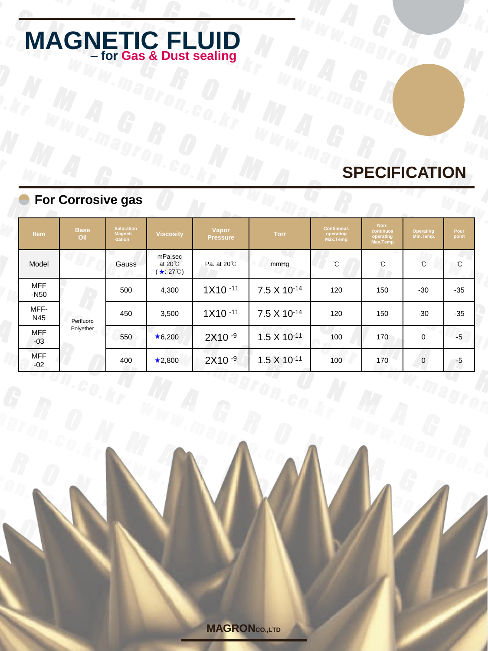# **SPECIFICATION**

|                                | <b>For Corrosive gas</b> |                                                |                                                 |                          |                       |                                             |                                             |                        |                  |
|--------------------------------|--------------------------|------------------------------------------------|-------------------------------------------------|--------------------------|-----------------------|---------------------------------------------|---------------------------------------------|------------------------|------------------|
| <b>Item</b>                    | <b>Base</b><br>Oil       | <b>Saturation</b><br><b>Magneti</b><br>-zation | <b>Viscosity</b>                                | Vapor<br><b>Pressure</b> | <b>Torr</b>           | <b>Continuous</b><br>operating<br>Max.Temp. | Non-<br>continuos<br>operating<br>Max.Temp. | Operating<br>Min.Temp. | Pour<br>point    |
| Model                          |                          | Gauss                                          | mPa.sec<br>at $20^{\circ}$ C<br>$\star$ : 27°C) | Pa. at 20 <sup>°</sup> C | mmHg                  | $\circ$                                     | С°                                          | $\rm ^{\circ}C$        | $\rm ^{\circ}$ C |
| <b>MFF</b><br>-N <sub>50</sub> | Perfluoro<br>Polyether   | 500                                            | 4,300                                           | $1X10 - 11$              | 7.5 X 10-14           | 120                                         | 150                                         | $-30$                  | $-35$            |
| MFF-<br>N45                    |                          | 450                                            | 3,500                                           | $1X10 - 11$              | 7.5 X 10-14           | 120                                         | 150                                         | $-30$                  | $-35$            |
| <b>MFF</b><br>$-03$            |                          | 550                                            | $\star$ 6,200                                   | $2X10 - 9$               | $1.5 \times 10^{-11}$ | 100                                         | 170                                         | $\mathbf 0$            | $-5$             |
| <b>MFF</b><br>$-02$            |                          | 400                                            | $\star$ 2,800                                   | $2X10 - 9$               | $1.5 \times 10^{-11}$ | 100                                         | 170                                         | $\mathbf 0$            | -5               |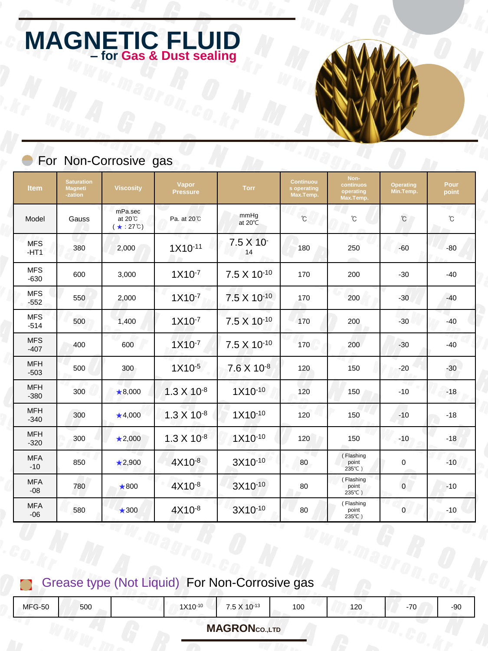### For Non-Corrosive gas

| <b>Item</b>          | <b>Saturation</b><br><b>Magneti</b><br>-zation | <b>Viscosity</b>                        | Vapor<br><b>Pressure</b> | <b>Torr</b>             | Continuou<br>s operating<br>Max.Temp. | Non-<br>continuos<br>operating<br>Max.Temp. | <b>Operating</b><br>Min.Temp. | Pour<br>point |
|----------------------|------------------------------------------------|-----------------------------------------|--------------------------|-------------------------|---------------------------------------|---------------------------------------------|-------------------------------|---------------|
| Model                | Gauss                                          | mPa.sec<br>at 20°C<br>$(* 27^{\circ}C)$ | Pa. at 20°C              | mmHg<br>at 20℃          | $\mathbb{C}$                          | °C                                          | $\mathcal{C}$                 | $\mathrm{C}$  |
| <b>MFS</b><br>$-HT1$ | 380                                            | 2,000                                   | 1X10-11                  | 7.5 X 10<br>14          | 180                                   | 250                                         | $-60$                         | $-80$         |
| <b>MFS</b><br>$-630$ | 600                                            | 3,000                                   | $1X10^{-7}$              | 7.5 X 10 <sup>-10</sup> | 170                                   | 200                                         | $-30$                         | $-40$         |
| <b>MFS</b><br>$-552$ | 550                                            | 2,000                                   | $1X10^{-7}$              | 7.5 X 10-10             | 170                                   | 200                                         | $-30$                         | $-40$         |
| <b>MFS</b><br>$-514$ | 500                                            | 1,400                                   | $1X10^{-7}$              | 7.5 X 10 <sup>-10</sup> | 170                                   | 200                                         | $-30$                         | $-40$         |
| <b>MFS</b><br>$-407$ | 400                                            | 600                                     | $1X10^{-7}$              | 7.5 X 10 <sup>-10</sup> | 170                                   | 200                                         | $-30$                         | $-40$         |
| <b>MFH</b><br>$-503$ | 500                                            | 300                                     | $1X10^{-5}$              | 7.6 X 10-8              | 120                                   | 150                                         | $-20$                         | $-30$         |
| <b>MFH</b><br>$-380$ | 300                                            | $\bigstar$ 8,000                        | $1.3 \times 10^{-8}$     | $1X10^{-10}$            | 120                                   | 150                                         | $-10$                         | $-18$         |
| <b>MFH</b><br>$-340$ | 300                                            | $\bigstar$ 4,000                        | $1.3 \times 10^{-8}$     | $1X10^{-10}$            | 120                                   | 150                                         | $-10$                         | $-18$         |
| <b>MFH</b><br>$-320$ | 300                                            | $\star$ 2,000                           | $1.3 \times 10^{-8}$     | 1X10-10                 | 120                                   | 150                                         | $-10$                         | $-18$         |
| <b>MFA</b><br>$-10$  | 850                                            | $\star$ 2,900                           | $4X10^{-8}$              | 3X10-10                 | 80                                    | (Flashing<br>point<br>235℃)                 | 0                             | $-10$         |
| <b>MFA</b><br>$-08$  | 780                                            | $\bigstar$ 800                          | $4X10^{-8}$              | 3X10-10                 | 80                                    | (Flashing<br>point<br>235°C)                | $\mathbf 0$                   | $-10$         |
| <b>MFA</b><br>$-06$  | 580                                            | $\bigstar$ 300                          | $4X10^{-8}$              | 3X10-10                 | 80                                    | (Flashing<br>point<br>235℃)                 | $\mathbf{0}$                  | $-10$         |

### Grease type (Not Liquid) For Non-Corrosive gas

| <b>MFG-50</b> | 500 | $1Y10-10$<br>.7110 | $75Y10-13$<br>. <b>.</b> | 100 | 120 | $\overline{z}$<br>- 11<br><b>∪</b> | $-90$ |
|---------------|-----|--------------------|--------------------------|-----|-----|------------------------------------|-------|
|               |     |                    |                          |     |     |                                    |       |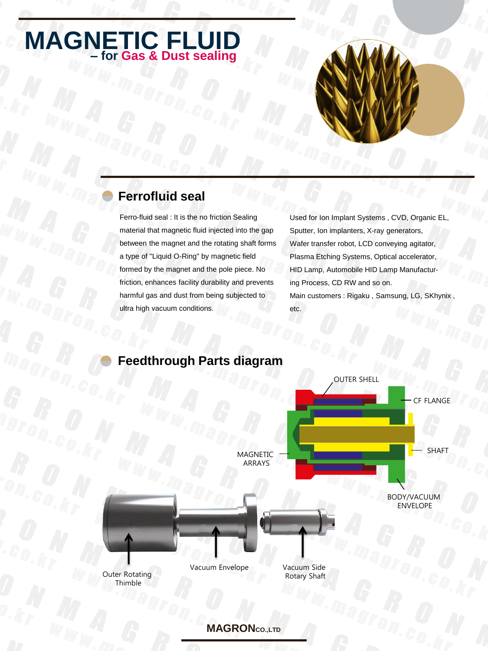

Ferro-fluid seal : It is the no friction Sealing material that magnetic fluid injected into the gap between the magnet and the rotating shaft forms a type of "Liquid O-Ring" by magnetic field formed by the magnet and the pole piece. No friction, enhances facility durability and prevents harmful gas and dust from being subjected to ultra high vacuum conditions.

Used for Ion Implant Systems , CVD, Organic EL, Sputter, Ion implanters, X-ray generators, Wafer transfer robot, LCD conveying agitator, Plasma Etching Systems, Optical accelerator, HID Lamp, Automobile HID Lamp Manufacturing Process, CD RW and so on. Main customers : Rigaku , Samsung, LG, SKhynix , etc.



#### **Feedthrough Parts diagram**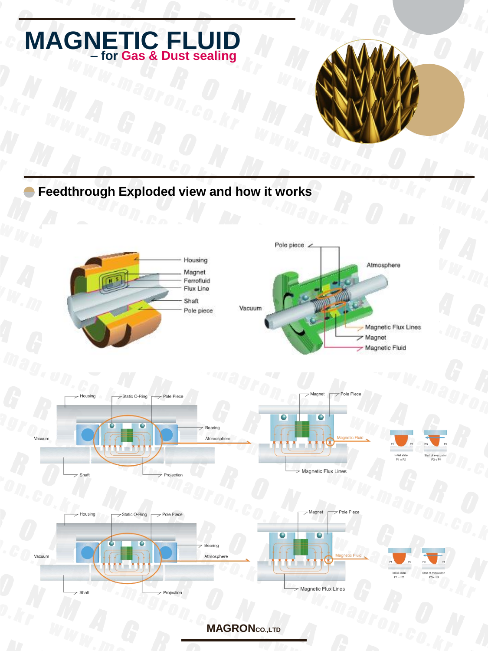### **Feedthrough Exploded view and how it works**

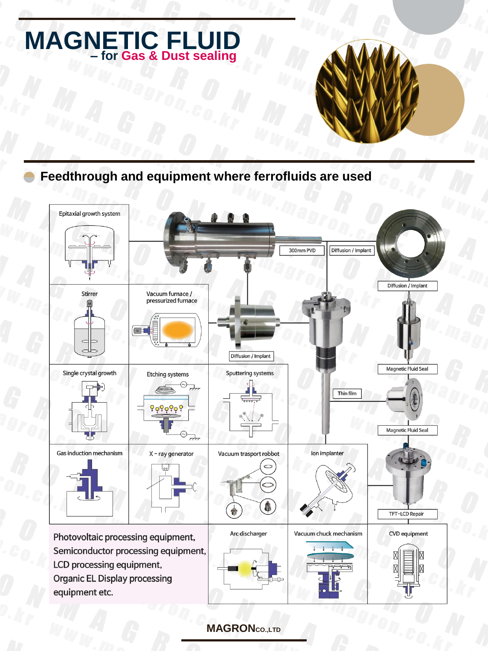#### **Feedthrough and equipment where ferrofluids are used**